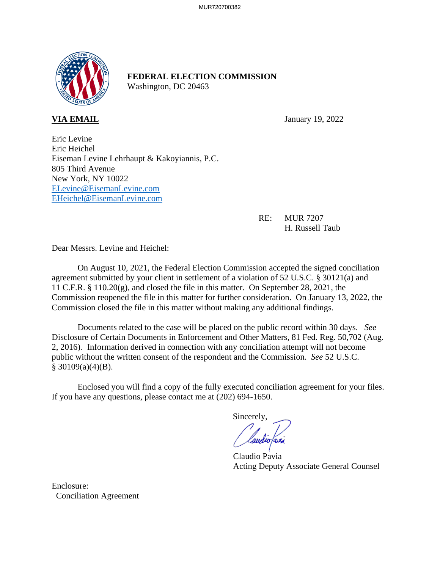

## **FEDERAL ELECTION COMMISSION** Washington, DC 20463

**VIA EMAIL** January 19, 2022

Eric Levine Eric Heichel Eiseman Levine Lehrhaupt & Kakoyiannis, P.C. 805 Third Avenue New York, NY 10022 ELevine@EisemanLevine.com EHeichel@EisemanLevine.com

> RE: MUR 7207 H. Russell Taub

Dear Messrs. Levine and Heichel:

On August 10, 2021, the Federal Election Commission accepted the signed conciliation agreement submitted by your client in settlement of a violation of 52 U.S.C. § 30121(a) and 11 C.F.R. § 110.20(g), and closed the file in this matter. On September 28, 2021, the Commission reopened the file in this matter for further consideration. On January 13, 2022, the Commission closed the file in this matter without making any additional findings.

Documents related to the case will be placed on the public record within 30 days. *See* Disclosure of Certain Documents in Enforcement and Other Matters*,* 81 Fed. Reg. 50,702 (Aug. 2, 2016). Information derived in connection with any conciliation attempt will not become public without the written consent of the respondent and the Commission. *See* 52 U.S.C.  $$30109(a)(4)(B).$ 

Enclosed you will find a copy of the fully executed conciliation agreement for your files. If you have any questions, please contact me at (202) 694-1650.

Sincerely,

Claudio Pavia Acting Deputy Associate General Counsel

Enclosure: Conciliation Agreement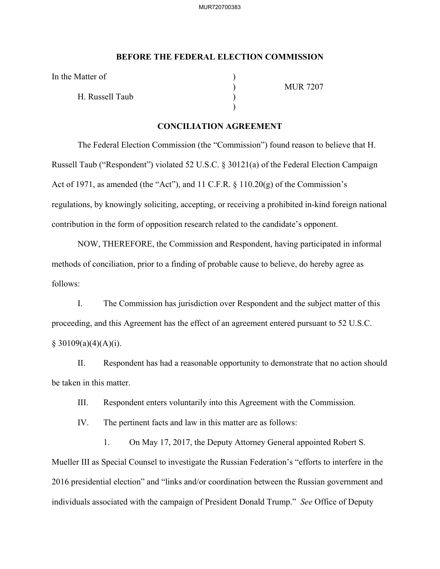## **BEFORE THE FEDERAL ELECTION COMMISSION**

In the Matter of

H. Russell Taub )

 $)$ 

) MUR 7207

## **CONCILIATION AGREEMENT**

The Federal Election Commission (the "Commission") found reason to believe that H. Russell Taub ("Respondent") violated 52 U.S.C. § 30121(a) of the Federal Election Campaign Act of 1971, as amended (the "Act"), and 11 C.F.R. § 110.20(g) of the Commission's regulations, by knowingly soliciting, accepting, or receiving a prohibited in-kind foreign national contribution in the form of opposition research related to the candidate's opponent.

NOW, THEREFORE, the Commission and Respondent, having participated in informal methods of conciliation, prior to a finding of probable cause to believe, do hereby agree as follows:

I. The Commission has jurisdiction over Respondent and the subject matter of this proceeding, and this Agreement has the effect of an agreement entered pursuant to 52 U.S.C.  $§ 30109(a)(4)(A)(i).$ 

II. Respondent has had a reasonable opportunity to demonstrate that no action should be taken in this matter.

III. Respondent enters voluntarily into this Agreement with the Commission.

IV. The pertinent facts and law in this matter are as follows:

1. On May 17, 2017, the Deputy Attorney General appointed Robert S. Mueller III as Special Counsel to investigate the Russian Federation's "efforts to interfere in the 2016 presidential election" and "links and/or coordination between the Russian government and individuals associated with the campaign of President Donald Trump." *See* Office of Deputy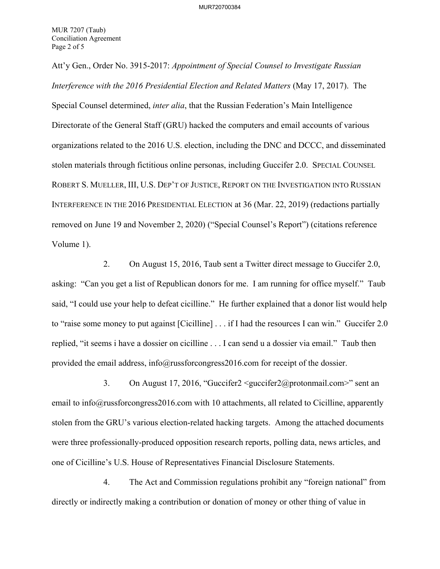Att'y Gen., Order No. 3915-2017: *Appointment of Special Counsel to Investigate Russian Interference with the 2016 Presidential Election and Related Matters* (May 17, 2017). The Special Counsel determined, *inter alia*, that the Russian Federation's Main Intelligence Directorate of the General Staff (GRU) hacked the computers and email accounts of various organizations related to the 2016 U.S. election, including the DNC and DCCC, and disseminated stolen materials through fictitious online personas, including Guccifer 2.0. SPECIAL COUNSEL ROBERT S. MUELLER, III, U.S. DEP'T OF JUSTICE, REPORT ON THE INVESTIGATION INTO RUSSIAN INTERFERENCE IN THE 2016 PRESIDENTIAL ELECTION at 36 (Mar. 22, 2019) (redactions partially removed on June 19 and November 2, 2020) ("Special Counsel's Report") (citations reference Volume 1).

2. On August 15, 2016, Taub sent a Twitter direct message to Guccifer 2.0, asking: "Can you get a list of Republican donors for me. I am running for office myself." Taub said, "I could use your help to defeat cicilline." He further explained that a donor list would help to "raise some money to put against [Cicilline] . . . if I had the resources I can win." Guccifer 2.0 replied, "it seems i have a dossier on cicilline . . . I can send u a dossier via email." Taub then provided the email address, info@russforcongress2016.com for receipt of the dossier.

3. On August 17, 2016, "Guccifer2 <guccifer2@protonmail.com>" sent an email to info@russforcongress2016.com with 10 attachments, all related to Cicilline, apparently stolen from the GRU's various election-related hacking targets. Among the attached documents were three professionally-produced opposition research reports, polling data, news articles, and one of Cicilline's U.S. House of Representatives Financial Disclosure Statements.

4. The Act and Commission regulations prohibit any "foreign national" from directly or indirectly making a contribution or donation of money or other thing of value in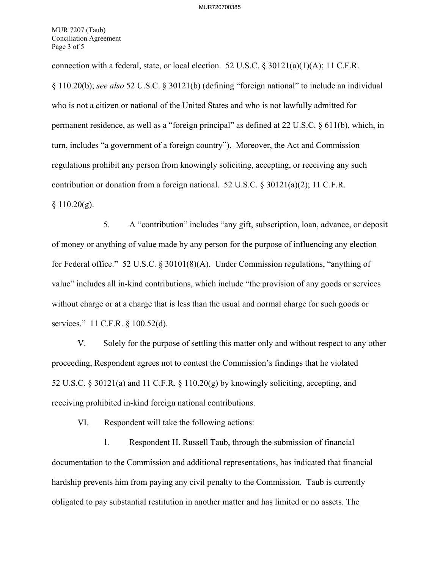MUR 7207 (Taub) Conciliation Agreement Page 3 of 5

connection with a federal, state, or local election. 52 U.S.C.  $\frac{830121(a)(1)(A)}{1}$ ; 11 C.F.R. § 110.20(b); *see also* 52 U.S.C. § 30121(b) (defining "foreign national" to include an individual who is not a citizen or national of the United States and who is not lawfully admitted for permanent residence, as well as a "foreign principal" as defined at 22 U.S.C. § 611(b), which, in turn, includes "a government of a foreign country"). Moreover, the Act and Commission regulations prohibit any person from knowingly soliciting, accepting, or receiving any such contribution or donation from a foreign national. 52 U.S.C. § 30121(a)(2); 11 C.F.R.  $§ 110.20(g).$ 

5. A "contribution" includes "any gift, subscription, loan, advance, or deposit of money or anything of value made by any person for the purpose of influencing any election for Federal office." 52 U.S.C. § 30101(8)(A). Under Commission regulations, "anything of value" includes all in-kind contributions, which include "the provision of any goods or services without charge or at a charge that is less than the usual and normal charge for such goods or services." 11 C.F.R. § 100.52(d).

V. Solely for the purpose of settling this matter only and without respect to any other proceeding, Respondent agrees not to contest the Commission's findings that he violated 52 U.S.C. § 30121(a) and 11 C.F.R. § 110.20(g) by knowingly soliciting, accepting, and receiving prohibited in-kind foreign national contributions.

VI. Respondent will take the following actions:

1. Respondent H. Russell Taub, through the submission of financial documentation to the Commission and additional representations, has indicated that financial hardship prevents him from paying any civil penalty to the Commission. Taub is currently obligated to pay substantial restitution in another matter and has limited or no assets. The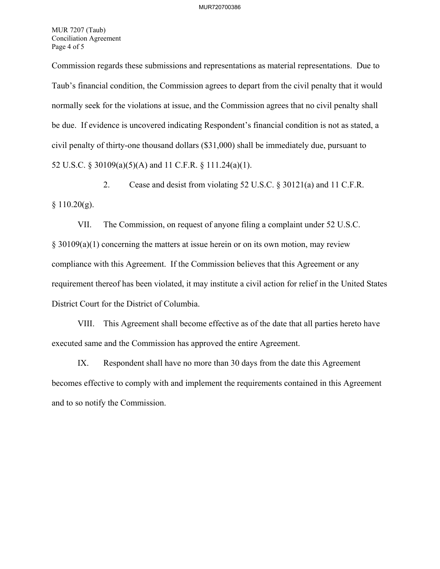MUR 7207 (Taub) Conciliation Agreement Page 4 of 5

Commission regards these submissions and representations as material representations. Due to Taub's financial condition, the Commission agrees to depart from the civil penalty that it would normally seek for the violations at issue, and the Commission agrees that no civil penalty shall be due. If evidence is uncovered indicating Respondent's financial condition is not as stated, a civil penalty of thirty-one thousand dollars (\$31,000) shall be immediately due, pursuant to 52 U.S.C. § 30109(a)(5)(A) and 11 C.F.R. § 111.24(a)(1).

2. Cease and desist from violating 52 U.S.C. § 30121(a) and 11 C.F.R.  $§ 110.20(g).$ 

VII. The Commission, on request of anyone filing a complaint under 52 U.S.C. § 30109(a)(1) concerning the matters at issue herein or on its own motion, may review compliance with this Agreement. If the Commission believes that this Agreement or any requirement thereof has been violated, it may institute a civil action for relief in the United States District Court for the District of Columbia.

VIII. This Agreement shall become effective as of the date that all parties hereto have executed same and the Commission has approved the entire Agreement.

IX. Respondent shall have no more than 30 days from the date this Agreement becomes effective to comply with and implement the requirements contained in this Agreement and to so notify the Commission.